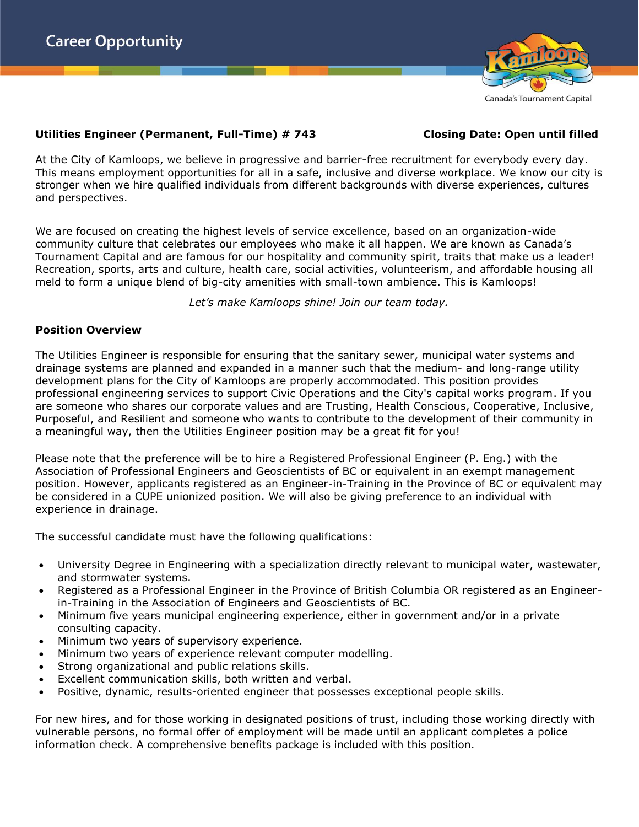

### **Utilities Engineer (Permanent, Full-Time) # 743 Closing Date: Open until filled**

At the City of Kamloops, we believe in progressive and barrier-free recruitment for everybody every day. This means employment opportunities for all in a safe, inclusive and diverse workplace. We know our city is stronger when we hire qualified individuals from different backgrounds with diverse experiences, cultures and perspectives.

We are focused on creating the highest levels of service excellence, based on an organization-wide community culture that celebrates our employees who make it all happen. We are known as Canada's Tournament Capital and are famous for our hospitality and community spirit, traits that make us a leader! Recreation, sports, arts and culture, health care, social activities, volunteerism, and affordable housing all meld to form a unique blend of big-city amenities with small-town ambience. This is Kamloops!

*Let's make Kamloops shine! Join our team today.*

# **Position Overview**

The Utilities Engineer is responsible for ensuring that the sanitary sewer, municipal water systems and drainage systems are planned and expanded in a manner such that the medium- and long-range utility development plans for the City of Kamloops are properly accommodated. This position provides professional engineering services to support Civic Operations and the City's capital works program. If you are someone who shares our corporate values and are Trusting, Health Conscious, Cooperative, Inclusive, Purposeful, and Resilient and someone who wants to contribute to the development of their community in a meaningful way, then the Utilities Engineer position may be a great fit for you!

Please note that the preference will be to hire a Registered Professional Engineer (P. Eng.) with the Association of Professional Engineers and Geoscientists of BC or equivalent in an exempt management position. However, applicants registered as an Engineer-in-Training in the Province of BC or equivalent may be considered in a CUPE unionized position. We will also be giving preference to an individual with experience in drainage.

The successful candidate must have the following qualifications:

- University Degree in Engineering with a specialization directly relevant to municipal water, wastewater, and stormwater systems.
- Registered as a Professional Engineer in the Province of British Columbia OR registered as an Engineerin-Training in the Association of Engineers and Geoscientists of BC.
- Minimum five years municipal engineering experience, either in government and/or in a private consulting capacity.
- Minimum two years of supervisory experience.
- Minimum two years of experience relevant computer modelling.
- Strong organizational and public relations skills.
- Excellent communication skills, both written and verbal.
- Positive, dynamic, results-oriented engineer that possesses exceptional people skills.

For new hires, and for those working in designated positions of trust, including those working directly with vulnerable persons, no formal offer of employment will be made until an applicant completes a police information check. A comprehensive benefits package is included with this position.